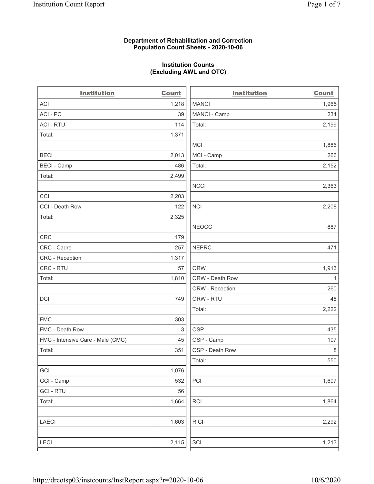### Department of Rehabilitation and Correction Population Count Sheets - 2020-10-06

## Institution Counts (Excluding AWL and OTC)

. .

| <b>Institution</b>                | <b>Count</b> | <b>Institution</b> | <b>Count</b> |
|-----------------------------------|--------------|--------------------|--------------|
| <b>ACI</b>                        | 1,218        | <b>MANCI</b>       | 1,965        |
| ACI-PC                            | 39           | MANCI - Camp       | 234          |
| <b>ACI - RTU</b>                  | 114          | Total:             | 2,199        |
| Total:                            | 1,371        |                    |              |
|                                   |              | <b>MCI</b>         | 1,886        |
| <b>BECI</b>                       | 2,013        | MCI - Camp         | 266          |
| <b>BECI - Camp</b>                | 486          | Total:             | 2,152        |
| Total:                            | 2,499        |                    |              |
|                                   |              | <b>NCCI</b>        | 2,363        |
| CCI                               | 2,203        |                    |              |
| CCI - Death Row                   | 122          | <b>NCI</b>         | 2,208        |
| Total:                            | 2,325        |                    |              |
|                                   |              | <b>NEOCC</b>       | 887          |
| <b>CRC</b>                        | 179          |                    |              |
| CRC - Cadre                       | 257          | <b>NEPRC</b>       | 471          |
| CRC - Reception                   | 1,317        |                    |              |
| CRC - RTU                         | 57           | <b>ORW</b>         | 1,913        |
| Total:                            | 1,810        | ORW - Death Row    | $\mathbf{1}$ |
|                                   |              | ORW - Reception    | 260          |
| DCI                               | 749          | ORW - RTU          | 48           |
|                                   |              | Total:             | 2,222        |
| <b>FMC</b>                        | 303          |                    |              |
| FMC - Death Row                   | 3            | <b>OSP</b>         | 435          |
| FMC - Intensive Care - Male (CMC) | 45           | OSP - Camp         | 107          |
| Total:                            | 351          | OSP - Death Row    | 8            |
|                                   |              | Total:             | 550          |
| GCI                               | 1,076        |                    |              |
| GCI - Camp                        | 532          | $\mathsf{PCI}$     | 1,607        |
| <b>GCI-RTU</b>                    | 56           |                    |              |
| Total:                            | 1,664        | RCI                | 1,864        |
| LAECI                             | 1,603        | <b>RICI</b>        | 2,292        |
| <b>LECI</b>                       | 2,115        | SCI                | 1,213        |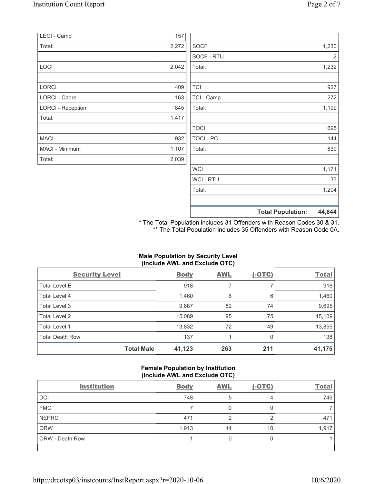|                          |       |             | <b>Total Population:</b> | 44,644 |
|--------------------------|-------|-------------|--------------------------|--------|
|                          |       |             |                          |        |
|                          |       | Total:      |                          | 1,204  |
|                          |       | WCI - RTU   |                          | 33     |
|                          |       | <b>WCI</b>  |                          | 1,171  |
| Total:                   | 2,039 |             |                          |        |
| MACI - Minimum           | 1,107 | Total:      |                          | 839    |
| <b>MACI</b>              | 932   | TOCI - PC   |                          | 144    |
|                          |       | <b>TOCI</b> |                          | 695    |
| Total:                   | 1,417 |             |                          |        |
| <b>LORCI - Reception</b> | 845   | Total:      |                          | 1,199  |
| <b>LORCI - Cadre</b>     | 163   | TCI - Camp  |                          | 272    |
| LORCI                    | 409   | <b>TCI</b>  |                          | 927    |
|                          |       |             |                          |        |
| LOCI                     | 2,042 | Total:      |                          | 1,232  |
|                          |       | SOCF - RTU  |                          | 2      |
| Total:                   | 2,272 | <b>SOCF</b> |                          | 1,230  |
| LECI - Camp              | 157   |             |                          |        |

\* The Total Population includes 31 Offenders with Reason Codes 30 & 31. \*\* The Total Population includes 35 Offenders with Reason Code 0A.

## Male Population by Security Level (Include AWL and Exclude OTC)

| <b>Security Level</b>  |                   | <b>Body</b> | <b>AWL</b> | $(-OTC)$ | <b>Total</b> |
|------------------------|-------------------|-------------|------------|----------|--------------|
| <b>Total Level E</b>   |                   | 918         |            |          | 918          |
| Total Level 4          |                   | 1,460       | 6          | 6        | 1,460        |
| Total Level 3          |                   | 9,687       | 82         | 74       | 9,695        |
| Total Level 2          |                   | 15,089      | 95         | 75       | 15,109       |
| Total Level 1          |                   | 13,832      | 72         | 49       | 13,855       |
| <b>Total Death Row</b> |                   | 137         |            | 0        | 138          |
|                        | <b>Total Male</b> | 41,123      | 263        | 211      | 41,175       |

#### Female Population by Institution (Include AWL and Exclude OTC)

| <b>Institution</b>     | <b>Body</b> | <b>AWL</b> | $(-OTC)$ | <b>Total</b> |
|------------------------|-------------|------------|----------|--------------|
| DCI                    | 748         | 5          | 4        | 749          |
| <b>FMC</b>             |             |            |          |              |
| <b>NEPRC</b>           | 471         |            | 2        | 471          |
| <b>ORW</b>             | 1,913       | 14         | 10       | 1,917        |
| <b>ORW</b> - Death Row |             |            |          |              |
|                        |             |            |          |              |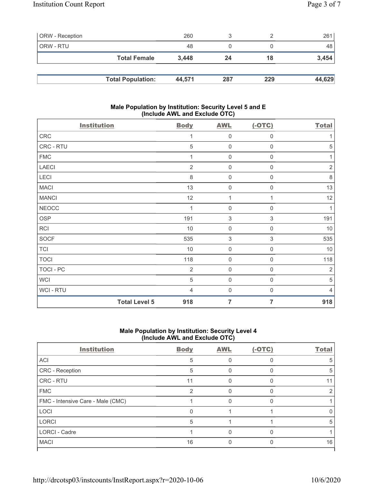| <b>ORW</b> - Reception |                          | 260    |     |     | 261    |
|------------------------|--------------------------|--------|-----|-----|--------|
| ORW - RTU              |                          | 48     |     |     | 48     |
|                        | <b>Total Female</b>      | 3.448  | 24  | 18  | 3,454  |
|                        |                          |        |     |     |        |
|                        | <b>Total Population:</b> | 44.571 | 287 | 229 | 44,629 |

## Male Population by Institution: Security Level 5 and E (Include AWL and Exclude OTC)

| <b>Institution</b> |                      | <b>Body</b>    | <b>AWL</b>                | $(-OTC)$            | <b>Total</b>   |
|--------------------|----------------------|----------------|---------------------------|---------------------|----------------|
| CRC                |                      | 1              | $\mathbf 0$               | $\,0\,$             | 1              |
| CRC - RTU          |                      | 5              | $\mathbf 0$               | $\boldsymbol{0}$    | $\mathbf 5$    |
| <b>FMC</b>         |                      |                | $\mathbf 0$               | 0                   | 1              |
| <b>LAECI</b>       |                      | $\overline{2}$ | $\mathbf 0$               | $\boldsymbol{0}$    | $\sqrt{2}$     |
| LECI               |                      | $\,8\,$        | $\mathsf{O}\xspace$       | $\boldsymbol{0}$    | $\,8\,$        |
| <b>MACI</b>        |                      | 13             | $\mathsf{O}\xspace$       | $\boldsymbol{0}$    | 13             |
| <b>MANCI</b>       |                      | 12             | 1                         | 1                   | 12             |
| <b>NEOCC</b>       |                      | 1              | $\mathbf 0$               | $\boldsymbol{0}$    | $\mathbf{1}$   |
| OSP                |                      | 191            | $\sqrt{3}$                | $\mathsf 3$         | 191            |
| <b>RCI</b>         |                      | $10$           | $\mathbf 0$               | $\mathsf{O}\xspace$ | 10             |
| SOCF               |                      | 535            | $\ensuremath{\mathsf{3}}$ | $\sqrt{3}$          | 535            |
| <b>TCI</b>         |                      | 10             | $\mathsf{O}\xspace$       | 0                   | 10             |
| <b>TOCI</b>        |                      | 118            | $\mathsf 0$               | $\mathsf{O}\xspace$ | 118            |
| TOCI - PC          |                      | $\overline{2}$ | $\mathsf 0$               | $\mathsf{O}\xspace$ | $\overline{2}$ |
| <b>WCI</b>         |                      | 5              | $\mathbf 0$               | $\boldsymbol{0}$    | $\sqrt{5}$     |
| WCI - RTU          |                      | $\overline{4}$ | $\mathbf 0$               | $\boldsymbol{0}$    | $\overline{4}$ |
|                    | <b>Total Level 5</b> | 918            | $\overline{7}$            | 7                   | 918            |

# Male Population by Institution: Security Level 4 (Include AWL and Exclude OTC)

| <b>Institution</b>                | <b>Body</b> | <b>AWL</b> | $(-OTC)$ | <b>Total</b> |
|-----------------------------------|-------------|------------|----------|--------------|
| ACI                               | 5           |            |          | 5            |
| CRC - Reception                   | 5           |            |          | 5            |
| CRC - RTU                         | 11          |            |          |              |
| <b>FMC</b>                        | 2           |            |          |              |
| FMC - Intensive Care - Male (CMC) |             |            |          |              |
| <b>LOCI</b>                       |             |            |          |              |
| <b>LORCI</b>                      | 5           |            |          | 5            |
| <b>LORCI - Cadre</b>              |             |            |          |              |
| <b>MACI</b>                       | 16          |            |          | 16           |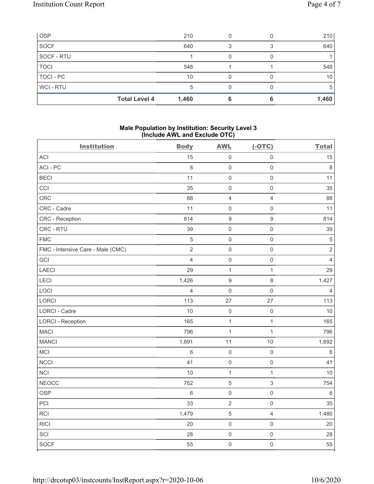| OSP            |                      | 210   |   | 210   |
|----------------|----------------------|-------|---|-------|
| <b>SOCF</b>    |                      | 640   | З | 640   |
| SOCF - RTU     |                      |       |   |       |
| <b>TOCI</b>    |                      | 548   |   | 548   |
| TOCI - PC      |                      | 10    |   | 10    |
| <b>WCI-RTU</b> |                      | 5     |   | 5     |
|                | <b>Total Level 4</b> | 1,460 |   | 1,460 |

#### Male Population by Institution: Security Level 3 (Include AWL and Exclude OTC)

| <b>Institution</b>                | <b>Body</b>    | <b>AWL</b>          | $(-OTC)$            | <b>Total</b>   |
|-----------------------------------|----------------|---------------------|---------------------|----------------|
| ACI                               | 15             | $\mathsf{O}\xspace$ | $\mathsf{O}\xspace$ | 15             |
| ACI-PC                            | 8              | $\mathsf 0$         | $\mathbf 0$         | 8              |
| <b>BECI</b>                       | 11             | $\mathsf 0$         | $\mathbf 0$         | 11             |
| CCI                               | 35             | $\mathsf{O}\xspace$ | $\mathbf 0$         | 35             |
| CRC                               | 88             | $\overline{4}$      | $\overline{4}$      | 88             |
| CRC - Cadre                       | 11             | $\mathsf 0$         | $\mathsf{O}\xspace$ | 11             |
| CRC - Reception                   | 814            | $\boldsymbol{9}$    | $\boldsymbol{9}$    | 814            |
| CRC - RTU                         | 39             | $\mathsf 0$         | $\mathsf{O}\xspace$ | 39             |
| <b>FMC</b>                        | $\sqrt{5}$     | $\mathsf 0$         | $\mathsf{O}\xspace$ | $\sqrt{5}$     |
| FMC - Intensive Care - Male (CMC) | $\overline{2}$ | $\mathsf 0$         | $\mathsf{O}\xspace$ | $\overline{2}$ |
| GCI                               | $\overline{4}$ | $\mathsf 0$         | $\mathsf 0$         | $\overline{4}$ |
| LAECI                             | 29             | $\mathbf{1}$        | $\mathbf{1}$        | 29             |
| LECI                              | 1,426          | $\boldsymbol{9}$    | 8                   | 1,427          |
| LOCI                              | 4              | $\mathsf 0$         | $\mathsf{O}\xspace$ | $\overline{4}$ |
| LORCI                             | 113            | 27                  | 27                  | 113            |
| <b>LORCI - Cadre</b>              | 10             | $\mathsf 0$         | $\mathsf 0$         | 10             |
| <b>LORCI - Reception</b>          | 165            | $\mathbf{1}$        | $\mathbf{1}$        | 165            |
| <b>MACI</b>                       | 796            | $\mathbf{1}$        | $\mathbf{1}$        | 796            |
| <b>MANCI</b>                      | 1,691          | 11                  | $10$                | 1,692          |
| MCI                               | $6\,$          | $\mathsf 0$         | $\mathsf{O}\xspace$ | $\,6$          |
| <b>NCCI</b>                       | 41             | $\mathsf{O}\xspace$ | $\mathsf{O}\xspace$ | 41             |
| <b>NCI</b>                        | 10             | $\mathbf{1}$        | $\mathbf{1}$        | 10             |
| <b>NEOCC</b>                      | 752            | $\mathbf 5$         | 3                   | 754            |
| <b>OSP</b>                        | $\,6\,$        | $\mathsf{O}\xspace$ | $\mathsf{O}\xspace$ | $\,6\,$        |
| PCI                               | 33             | $\sqrt{2}$          | $\mathsf{O}\xspace$ | 35             |
| RCI                               | 1,479          | $\,$ 5 $\,$         | $\overline{4}$      | 1,480          |
| <b>RICI</b>                       | 20             | $\mathsf{O}\xspace$ | $\mathsf{O}\xspace$ | 20             |
| SCI                               | 28             | $\mathsf 0$         | $\mathsf{O}\xspace$ | 28             |
| <b>SOCF</b>                       | 55             | $\mathsf{O}\xspace$ | $\mathsf{O}\xspace$ | 55             |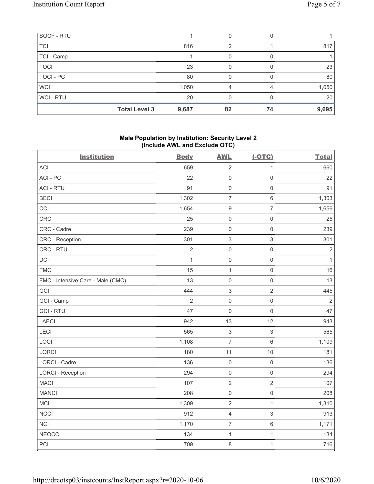| SOCF - RTU  |                      |       | 0  |    |       |
|-------------|----------------------|-------|----|----|-------|
| <b>TCI</b>  |                      | 816   | ⌒  |    | 817   |
| TCI - Camp  |                      |       | O  |    |       |
| <b>TOCI</b> |                      | 23    | 0  |    | 23    |
| TOCI - PC   |                      | 80    | O  |    | 80    |
| <b>WCI</b>  |                      | 1,050 | 4  |    | 1,050 |
| WCI-RTU     |                      | 20    | 0  |    | 20    |
|             | <b>Total Level 3</b> | 9,687 | 82 | 74 | 9,695 |

# Male Population by Institution: Security Level 2 (Include AWL and Exclude OTC)

| <b>Institution</b>                | <b>Body</b>  | <b>AWL</b>                | $(-OTC)$            | <b>Total</b> |
|-----------------------------------|--------------|---------------------------|---------------------|--------------|
| <b>ACI</b>                        | 659          | $\sqrt{2}$                | $\mathbf{1}$        | 660          |
| ACI-PC                            | 22           | $\mathsf{O}\xspace$       | $\mathsf{O}\xspace$ | 22           |
| <b>ACI - RTU</b>                  | 91           | $\mathsf 0$               | $\mathsf 0$         | 91           |
| <b>BECI</b>                       | 1,302        | $\overline{7}$            | $\,6\,$             | 1,303        |
| CCI                               | 1,654        | $\boldsymbol{9}$          | $\overline{7}$      | 1,656        |
| <b>CRC</b>                        | 25           | $\mathbf 0$               | $\mathsf 0$         | 25           |
| CRC - Cadre                       | 239          | $\mathbf 0$               | $\mathsf 0$         | 239          |
| CRC - Reception                   | 301          | $\ensuremath{\mathsf{3}}$ | $\mathfrak{S}$      | 301          |
| CRC - RTU                         | $\sqrt{2}$   | $\mathsf{O}\xspace$       | $\mathsf 0$         | $\sqrt{2}$   |
| DCI                               | $\mathbf{1}$ | $\mathsf{O}\xspace$       | $\mathsf{O}\xspace$ | $\mathbf{1}$ |
| <b>FMC</b>                        | 15           | $\mathbf{1}$              | $\mathsf{O}\xspace$ | 16           |
| FMC - Intensive Care - Male (CMC) | 13           | $\mathsf{O}\xspace$       | $\mathsf 0$         | 13           |
| GCI                               | 444          | $\ensuremath{\mathsf{3}}$ | $\sqrt{2}$          | 445          |
| GCI - Camp                        | $\sqrt{2}$   | $\mathsf{O}\xspace$       | $\mathsf 0$         | $\sqrt{2}$   |
| <b>GCI-RTU</b>                    | 47           | $\mathsf{O}\xspace$       | $\mathsf 0$         | 47           |
| LAECI                             | 942          | 13                        | 12                  | 943          |
| LECI                              | 565          | $\ensuremath{\mathsf{3}}$ | $\mathfrak{S}$      | 565          |
| LOCI                              | 1,108        | $\overline{7}$            | $\,6\,$             | 1,109        |
| <b>LORCI</b>                      | 180          | 11                        | 10                  | 181          |
| <b>LORCI - Cadre</b>              | 136          | $\mathsf 0$               | $\mathsf{O}\xspace$ | 136          |
| <b>LORCI - Reception</b>          | 294          | $\mathsf 0$               | $\mathsf{O}\xspace$ | 294          |
| <b>MACI</b>                       | 107          | $\sqrt{2}$                | $\mathbf 2$         | 107          |
| <b>MANCI</b>                      | 208          | $\mathsf{O}\xspace$       | $\mathsf 0$         | 208          |
| MCI                               | 1,309        | $\sqrt{2}$                | $\mathbf{1}$        | 1,310        |
| NCCI                              | 912          | $\sqrt{4}$                | $\sqrt{3}$          | 913          |
| <b>NCI</b>                        | 1,170        | $\overline{7}$            | $\,6\,$             | 1,171        |
| <b>NEOCC</b>                      | 134          | $\mathbf{1}$              | $\mathbf{1}$        | 134          |
| PCI                               | 709          | 8                         | $\mathbf{1}$        | 716          |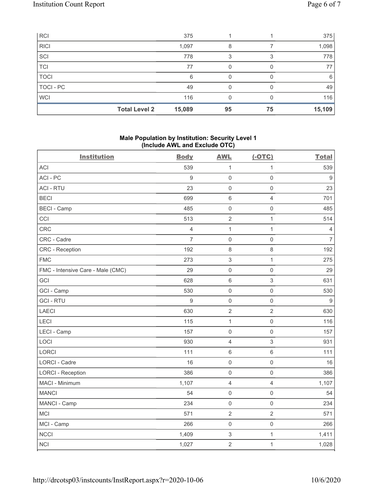| RCI         |                      | 375    |    |    | 375    |
|-------------|----------------------|--------|----|----|--------|
| <b>RICI</b> |                      | 1,097  | 8  |    | 1,098  |
| SCI         |                      | 778    | 3  |    | 778    |
| <b>TCI</b>  |                      | 77     |    |    | 77     |
| <b>TOCI</b> |                      | 6      |    |    | 6      |
| TOCI - PC   |                      | 49     |    |    | 49     |
| <b>WCI</b>  |                      | 116    |    |    | 116    |
|             | <b>Total Level 2</b> | 15,089 | 95 | 75 | 15,109 |

# Male Population by Institution: Security Level 1 (Include AWL and Exclude OTC)

| <b>Institution</b>                | <b>Body</b>      | <b>AWL</b>                | $(-OTC)$            | <b>Total</b>     |
|-----------------------------------|------------------|---------------------------|---------------------|------------------|
| <b>ACI</b>                        | 539              | $\mathbf{1}$              | $\mathbf{1}$        | 539              |
| ACI-PC                            | $\boldsymbol{9}$ | $\mathsf{O}\xspace$       | $\mathsf 0$         | 9                |
| <b>ACI - RTU</b>                  | 23               | $\mathsf{O}\xspace$       | $\mathsf{O}\xspace$ | 23               |
| <b>BECI</b>                       | 699              | $\,6\,$                   | $\overline{4}$      | 701              |
| <b>BECI - Camp</b>                | 485              | $\mathsf{O}\xspace$       | $\mathsf{O}\xspace$ | 485              |
| CCI                               | 513              | $\sqrt{2}$                | $\mathbf{1}$        | 514              |
| CRC                               | $\overline{4}$   | $\mathbf{1}$              | $\mathbf{1}$        | $\overline{4}$   |
| CRC - Cadre                       | $\overline{7}$   | $\mathsf{O}\xspace$       | $\mathsf{O}\xspace$ | $\overline{7}$   |
| <b>CRC</b> - Reception            | 192              | $\,8\,$                   | $\,8\,$             | 192              |
| <b>FMC</b>                        | 273              | $\ensuremath{\mathsf{3}}$ | $\mathbf{1}$        | 275              |
| FMC - Intensive Care - Male (CMC) | 29               | $\mathsf 0$               | $\mathsf 0$         | 29               |
| GCI                               | 628              | $\,6\,$                   | $\sqrt{3}$          | 631              |
| GCI - Camp                        | 530              | $\mathsf{O}\xspace$       | $\mathsf{O}\xspace$ | 530              |
| <b>GCI-RTU</b>                    | 9                | $\mathsf{O}\xspace$       | $\mathsf{O}\xspace$ | $\boldsymbol{9}$ |
| LAECI                             | 630              | $\sqrt{2}$                | $\overline{2}$      | 630              |
| LECI                              | 115              | $\mathbf{1}$              | $\mathsf{O}\xspace$ | 116              |
| LECI - Camp                       | 157              | $\mathsf{O}\xspace$       | $\mathbf 0$         | 157              |
| LOCI                              | 930              | $\overline{4}$            | $\mathfrak{S}$      | 931              |
| <b>LORCI</b>                      | 111              | $\,6\,$                   | $\,6\,$             | 111              |
| <b>LORCI - Cadre</b>              | 16               | $\mathsf 0$               | $\mathsf 0$         | 16               |
| <b>LORCI - Reception</b>          | 386              | $\mathsf{O}\xspace$       | $\mathsf{O}\xspace$ | 386              |
| MACI - Minimum                    | 1,107            | $\overline{4}$            | $\overline{4}$      | 1,107            |
| <b>MANCI</b>                      | 54               | $\mathsf{O}\xspace$       | $\mathsf{O}\xspace$ | 54               |
| MANCI - Camp                      | 234              | $\mathsf{O}\xspace$       | $\mathsf{O}\xspace$ | 234              |
| <b>MCI</b>                        | 571              | $\sqrt{2}$                | $\sqrt{2}$          | 571              |
| MCI - Camp                        | 266              | $\mathsf{O}\xspace$       | $\mathsf 0$         | 266              |
| <b>NCCI</b>                       | 1,409            | $\sqrt{3}$                | $\mathbf{1}$        | 1,411            |
| <b>NCI</b>                        | 1,027            | $\overline{2}$            | $\mathbf{1}$        | 1,028            |